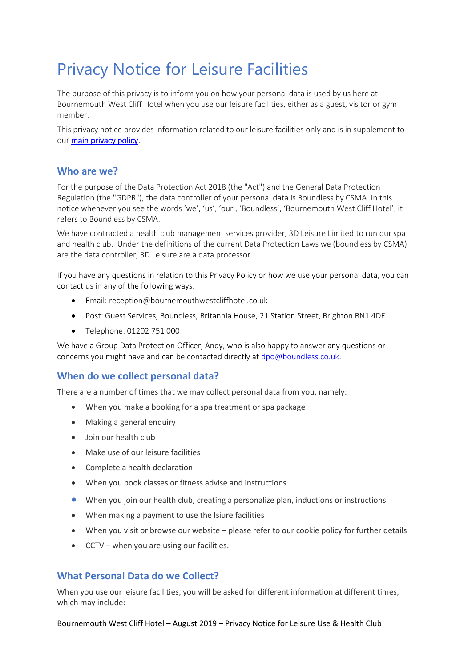# Privacy Notice for Leisure Facilities

The purpose of this privacy is to inform you on how your personal data is used by us here at Bournemouth West Cliff Hotel when you use our leisure facilities, either as a guest, visitor or gym member.

This privacy notice provides information related to our leisure facilities only and is in supplement to ou[r main privacy policy.](https://bournemouthwestcliffhotel.co.uk/privacy/)

## **Who are we?**

For the purpose of the Data Protection Act 2018 (the "Act") and the General Data Protection Regulation (the "GDPR"), the data controller of your personal data is Boundless by CSMA. In this notice whenever you see the words 'we', 'us', 'our', 'Boundless', 'Bournemouth West Cliff Hotel', it refers to Boundless by CSMA.

We have contracted a health club management services provider, 3D Leisure Limited to run our spa and health club. Under the definitions of the current Data Protection Laws we (boundless by CSMA) are the data controller, 3D Leisure are a data processor.

If you have any questions in relation to this Privacy Policy or how we use your personal data, you can contact us in any of the following ways:

- Email: reception@bournemouthwestcliffhotel.co.uk
- Post: Guest Services, Boundless, Britannia House, 21 Station Street, Brighton BN1 4DE
- Telephone: [01202](tel:03301230278) 751 000

We have a Group Data Protection Officer, Andy, who is also happy to answer any questions or concerns you might have and can be contacted directly at [dpo@boundless.co.uk.](mailto:dpo@boundless.co.uk)

## **When do we collect personal data?**

There are a number of times that we may collect personal data from you, namely:

- When you make a booking for a spa treatment or spa package
- Making a general enquiry
- Join our health club
- Make use of our leisure facilities
- Complete a health declaration
- When you book classes or fitness advise and instructions
- When you join our health club, creating a personalize plan, inductions or instructions
- When making a payment to use the lsiure facilities
- When you visit or browse our website please refer to our cookie policy for further details
- CCTV when you are using our facilities.

## **What Personal Data do we Collect?**

When you use our leisure facilities, you will be asked for different information at different times, which may include:

Bournemouth West Cliff Hotel – August 2019 – Privacy Notice for Leisure Use & Health Club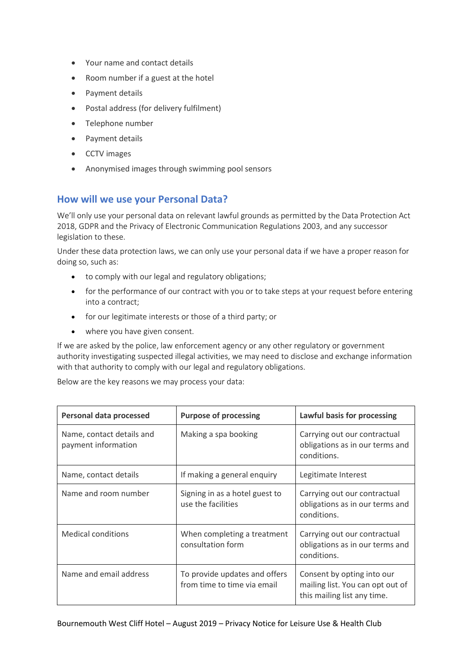- Your name and contact details
- Room number if a guest at the hotel
- Payment details
- Postal address (for delivery fulfilment)
- Telephone number
- Payment details
- CCTV images
- Anonymised images through swimming pool sensors

## **How will we use your Personal Data?**

We'll only use your personal data on relevant lawful grounds as permitted by the Data Protection Act 2018, GDPR and the Privacy of Electronic Communication Regulations 2003, and any successor legislation to these.

Under these data protection laws, we can only use your personal data if we have a proper reason for doing so, such as:

- to comply with our legal and regulatory obligations;
- for the performance of our contract with you or to take steps at your request before entering into a contract;
- for our legitimate interests or those of a third party; or
- where you have given consent.

If we are asked by the police, law enforcement agency or any other regulatory or government authority investigating suspected illegal activities, we may need to disclose and exchange information with that authority to comply with our legal and regulatory obligations.

Below are the key reasons we may process your data:

| Personal data processed                          | <b>Purpose of processing</b>                                 | Lawful basis for processing                                                                   |
|--------------------------------------------------|--------------------------------------------------------------|-----------------------------------------------------------------------------------------------|
| Name, contact details and<br>payment information | Making a spa booking                                         | Carrying out our contractual<br>obligations as in our terms and<br>conditions.                |
| Name, contact details                            | If making a general enquiry                                  | Legitimate Interest                                                                           |
| Name and room number                             | Signing in as a hotel guest to<br>use the facilities         | Carrying out our contractual<br>obligations as in our terms and<br>conditions.                |
| <b>Medical conditions</b>                        | When completing a treatment<br>consultation form             | Carrying out our contractual<br>obligations as in our terms and<br>conditions.                |
| Name and email address                           | To provide updates and offers<br>from time to time via email | Consent by opting into our<br>mailing list. You can opt out of<br>this mailing list any time. |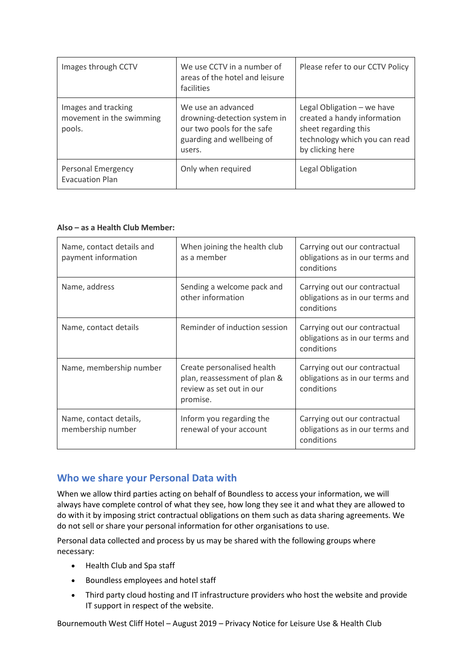| Images through CCTV                                       | We use CCTV in a number of<br>areas of the hotel and leisure<br>facilities                                              | Please refer to our CCTV Policy                                                                                                        |
|-----------------------------------------------------------|-------------------------------------------------------------------------------------------------------------------------|----------------------------------------------------------------------------------------------------------------------------------------|
| Images and tracking<br>movement in the swimming<br>pools. | We use an advanced<br>drowning-detection system in<br>our two pools for the safe<br>guarding and wellbeing of<br>users. | Legal Obligation - we have<br>created a handy information<br>sheet regarding this<br>technology which you can read<br>by clicking here |
| <b>Personal Emergency</b><br><b>Evacuation Plan</b>       | Only when required                                                                                                      | Legal Obligation                                                                                                                       |

#### **Also – as a Health Club Member:**

| Name, contact details and<br>payment information | When joining the health club<br>as a member                                                        | Carrying out our contractual<br>obligations as in our terms and<br>conditions |
|--------------------------------------------------|----------------------------------------------------------------------------------------------------|-------------------------------------------------------------------------------|
| Name, address                                    | Sending a welcome pack and<br>other information                                                    | Carrying out our contractual<br>obligations as in our terms and<br>conditions |
| Name, contact details                            | Reminder of induction session                                                                      | Carrying out our contractual<br>obligations as in our terms and<br>conditions |
| Name, membership number                          | Create personalised health<br>plan, reassessment of plan &<br>review as set out in our<br>promise. | Carrying out our contractual<br>obligations as in our terms and<br>conditions |
| Name, contact details,<br>membership number      | Inform you regarding the<br>renewal of your account                                                | Carrying out our contractual<br>obligations as in our terms and<br>conditions |

# **Who we share your Personal Data with**

When we allow third parties acting on behalf of Boundless to access your information, we will always have complete control of what they see, how long they see it and what they are allowed to do with it by imposing strict contractual obligations on them such as data sharing agreements. We do not sell or share your personal information for other organisations to use.

Personal data collected and process by us may be shared with the following groups where necessary:

- Health Club and Spa staff
- Boundless employees and hotel staff
- Third party cloud hosting and IT infrastructure providers who host the website and provide IT support in respect of the website.

Bournemouth West Cliff Hotel – August 2019 – Privacy Notice for Leisure Use & Health Club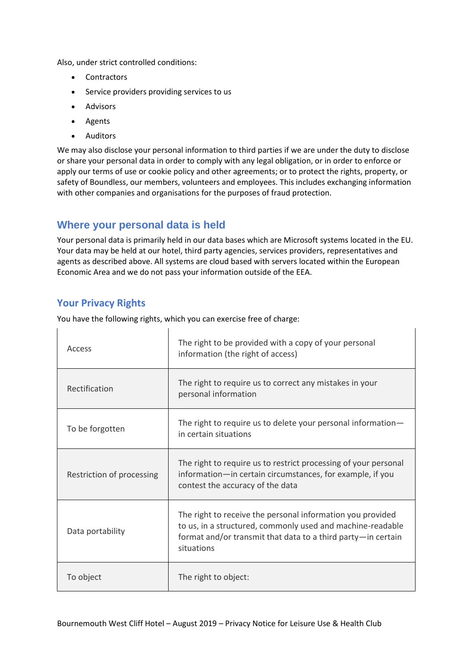Also, under strict controlled conditions:

- Contractors
- Service providers providing services to us
- Advisors
- Agents
- Auditors

We may also disclose your personal information to third parties if we are under the duty to disclose or share your personal data in order to comply with any legal obligation, or in order to enforce or apply our terms of use or cookie policy and other agreements; or to protect the rights, property, or safety of Boundless, our members, volunteers and employees. This includes exchanging information with other companies and organisations for the purposes of fraud protection.

# **Where your personal data is held**

Your personal data is primarily held in our data bases which are Microsoft systems located in the EU. Your data may be held at our hotel, third party agencies, services providers, representatives and agents as described above. All systems are cloud based with servers located within the European Economic Area and we do not pass your information outside of the EEA.

# **Your Privacy Rights**

| Access                    | The right to be provided with a copy of your personal<br>information (the right of access)                                                                                                             |
|---------------------------|--------------------------------------------------------------------------------------------------------------------------------------------------------------------------------------------------------|
| Rectification             | The right to require us to correct any mistakes in your<br>personal information                                                                                                                        |
| To be forgotten           | The right to require us to delete your personal information-<br>in certain situations                                                                                                                  |
| Restriction of processing | The right to require us to restrict processing of your personal<br>information-in certain circumstances, for example, if you<br>contest the accuracy of the data                                       |
| Data portability          | The right to receive the personal information you provided<br>to us, in a structured, commonly used and machine-readable<br>format and/or transmit that data to a third party-in certain<br>situations |
| To object                 | The right to object:                                                                                                                                                                                   |

You have the following rights, which you can exercise free of charge: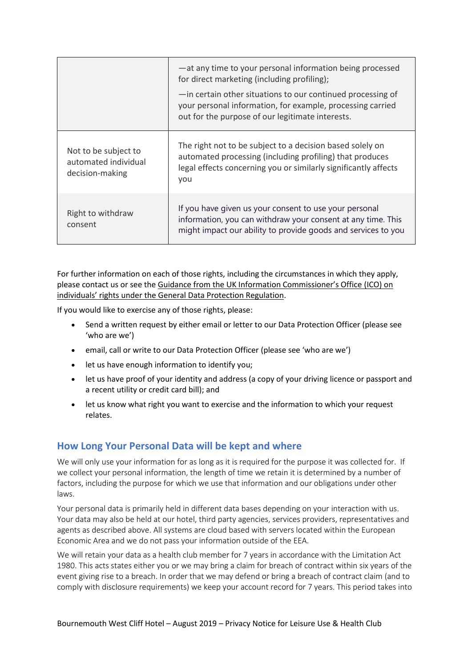|                                                                 | -at any time to your personal information being processed<br>for direct marketing (including profiling);                                                                                        |  |
|-----------------------------------------------------------------|-------------------------------------------------------------------------------------------------------------------------------------------------------------------------------------------------|--|
|                                                                 | -in certain other situations to our continued processing of<br>your personal information, for example, processing carried<br>out for the purpose of our legitimate interests.                   |  |
| Not to be subject to<br>automated individual<br>decision-making | The right not to be subject to a decision based solely on<br>automated processing (including profiling) that produces<br>legal effects concerning you or similarly significantly affects<br>you |  |
| Right to withdraw<br>consent                                    | If you have given us your consent to use your personal<br>information, you can withdraw your consent at any time. This<br>might impact our ability to provide goods and services to you         |  |

For further information on each of those rights, including the circumstances in which they apply, please contact us or see the [Guidance from the UK Information Commissioner's Office](http://ico.org.uk/for-organisations/guide-to-the-general-data-protection-regulation-gdpr/individual-rights/) (ICO) on [individuals' rights under the General Data Protection Regulation](http://ico.org.uk/for-organisations/guide-to-the-general-data-protection-regulation-gdpr/individual-rights/).

If you would like to exercise any of those rights, please:

- Send a written request by either email or letter to our Data Protection Officer (please see 'who are we')
- email, call or write to our Data Protection Officer (please see 'who are we')
- let us have enough information to identify you;
- let us have proof of your identity and address (a copy of your driving licence or passport and a recent utility or credit card bill); and
- let us know what right you want to exercise and the information to which your request relates.

## **How Long Your Personal Data will be kept and where**

We will only use your information for as long as it is required for the purpose it was collected for. If we collect your personal information, the length of time we retain it is determined by a number of factors, including the purpose for which we use that information and our obligations under other laws.

Your personal data is primarily held in different data bases depending on your interaction with us. Your data may also be held at our hotel, third party agencies, services providers, representatives and agents as described above. All systems are cloud based with servers located within the European Economic Area and we do not pass your information outside of the EEA.

We will retain your data as a health club member for 7 years in accordance with the Limitation Act 1980. This acts states either you or we may bring a claim for breach of contract within six years of the event giving rise to a breach. In order that we may defend or bring a breach of contract claim (and to comply with disclosure requirements) we keep your account record for 7 years. This period takes into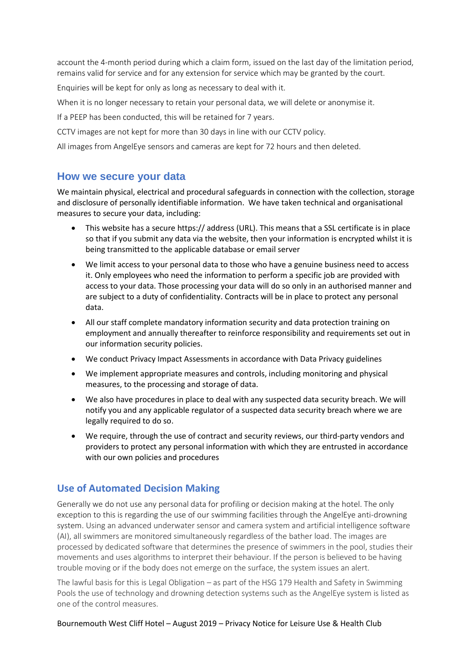account the 4-month period during which a claim form, issued on the last day of the limitation period, remains valid for service and for any extension for service which may be granted by the court.

Enquiries will be kept for only as long as necessary to deal with it.

When it is no longer necessary to retain your personal data, we will delete or anonymise it.

If a PEEP has been conducted, this will be retained for 7 years.

CCTV images are not kept for more than 30 days in line with our CCTV policy.

All images from AngelEye sensors and cameras are kept for 72 hours and then deleted.

## **How we secure your data**

We maintain physical, electrical and procedural safeguards in connection with the collection, storage and disclosure of personally identifiable information. We have taken technical and organisational measures to secure your data, including:

- This website has a secure https:// address (URL). This means that a SSL certificate is in place so that if you submit any data via the website, then your information is encrypted whilst it is being transmitted to the applicable database or email server
- We limit access to your personal data to those who have a genuine business need to access it. Only employees who need the information to perform a specific job are provided with access to your data. Those processing your data will do so only in an authorised manner and are subject to a duty of confidentiality. Contracts will be in place to protect any personal data.
- All our staff complete mandatory information security and data protection training on employment and annually thereafter to reinforce responsibility and requirements set out in our information security policies.
- We conduct Privacy Impact Assessments in accordance with Data Privacy guidelines
- We implement appropriate measures and controls, including monitoring and physical measures, to the processing and storage of data.
- We also have procedures in place to deal with any suspected data security breach. We will notify you and any applicable regulator of a suspected data security breach where we are legally required to do so.
- We require, through the use of contract and security reviews, our third-party vendors and providers to protect any personal information with which they are entrusted in accordance with our own policies and procedures

# **Use of Automated Decision Making**

Generally we do not use any personal data for profiling or decision making at the hotel. The only exception to this is regarding the use of our swimming facilities through the AngelEye anti-drowning system. Using an advanced underwater sensor and camera system and artificial intelligence software (AI), all swimmers are monitored simultaneously regardless of the bather load. The images are processed by dedicated software that determines the presence of swimmers in the pool, studies their movements and uses algorithms to interpret their behaviour. If the person is believed to be having trouble moving or if the body does not emerge on the surface, the system issues an alert.

The lawful basis for this is Legal Obligation – as part of the HSG 179 Health and Safety in Swimming Pools the use of technology and drowning detection systems such as the AngelEye system is listed as one of the control measures.

#### Bournemouth West Cliff Hotel – August 2019 – Privacy Notice for Leisure Use & Health Club